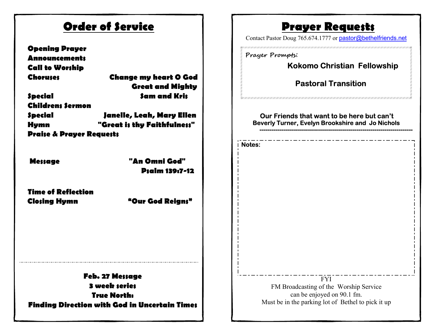| <b>Order of Service</b>                                                                                                                                                                                         |                                                                                                                                            | <b>Prayer Requests</b><br>Contact Pastor Doug 765.674.1777 or pastor@bethelfriends.net                                                                                                |
|-----------------------------------------------------------------------------------------------------------------------------------------------------------------------------------------------------------------|--------------------------------------------------------------------------------------------------------------------------------------------|---------------------------------------------------------------------------------------------------------------------------------------------------------------------------------------|
| <b>Opening Prayer</b><br><b>Announcements</b><br><b>Call to Worship</b><br><b>Choruses</b><br><b>Special</b><br><b>Childrens Sermon</b><br><b>Special</b><br><b>Hymn</b><br><b>Praise &amp; Prayer Requests</b> | <b>Change my heart O God</b><br><b>Great and Mighty</b><br><b>Sam and Kris</b><br>Janelle, Leah, Mary Ellen<br>"Great is thy Faithfulness" | Prayer Prompts:<br><b>Kokomo Christian Fellowship</b><br><b>Pastoral Transition</b><br>Our Friends that want to be here but can't<br>Beverly Turner, Evelyn Brookshire and Jo Nichols |
|                                                                                                                                                                                                                 |                                                                                                                                            | <i>i</i> Notes:                                                                                                                                                                       |
| <b>Message</b>                                                                                                                                                                                                  | "An Omni God"<br><b>Psalm 139:7-12</b>                                                                                                     |                                                                                                                                                                                       |
| <b>Time of Reflection</b><br><b>Closing Hymn</b>                                                                                                                                                                | "Our God Reigns"                                                                                                                           |                                                                                                                                                                                       |
| Feb. 27 Message<br><b>3 week series</b><br><b>True North:</b><br><b>Finding Direction with God in Uncertain Times</b>                                                                                           |                                                                                                                                            | <b>FYI</b><br>FM Broadcasting of the Worship Service<br>can be enjoyed on 90.1 fm.<br>Must be in the parking lot of Bethel to pick it up                                              |